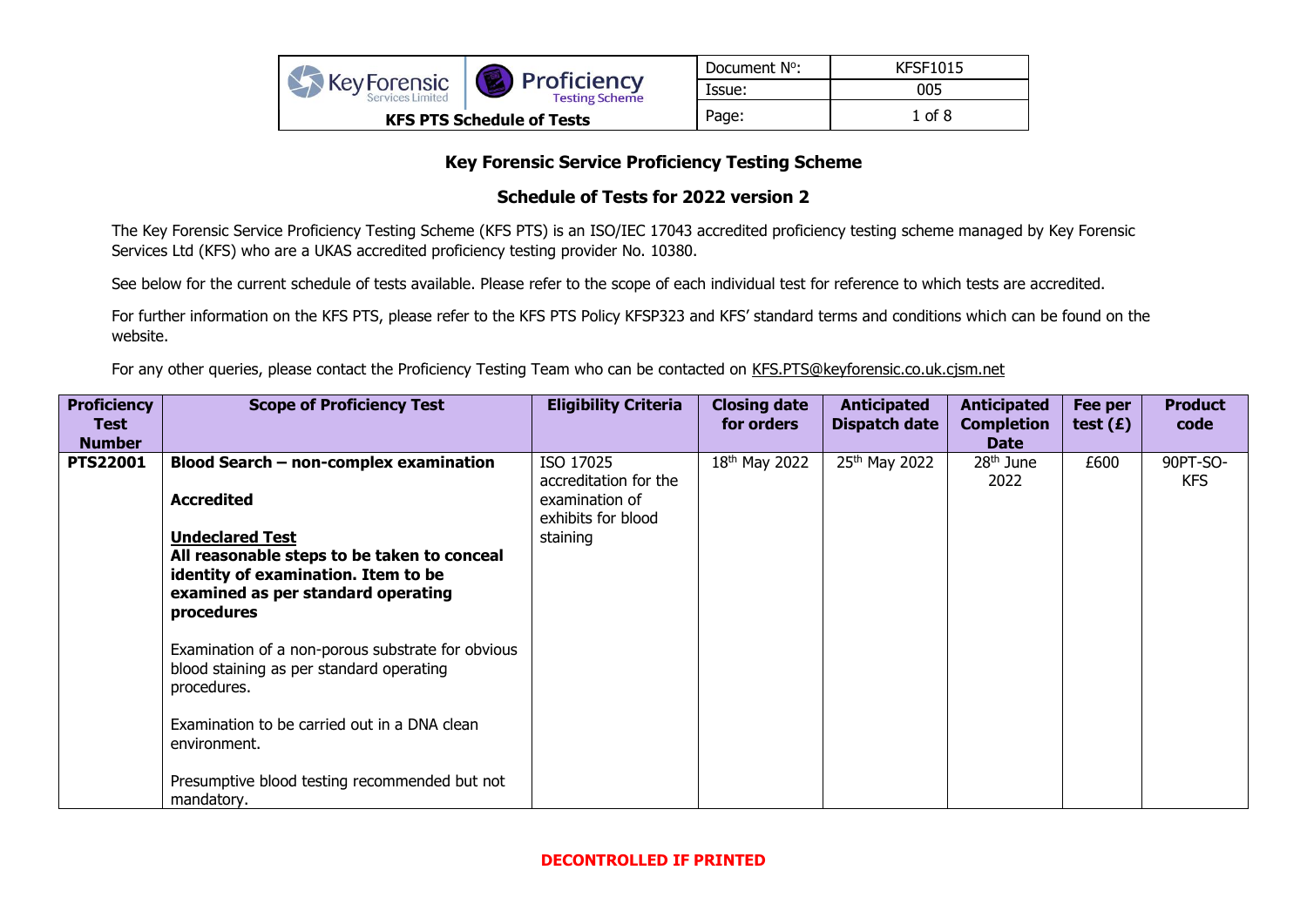|                                            |                                      | Document N°: | <b>KFSF1015</b> |
|--------------------------------------------|--------------------------------------|--------------|-----------------|
| <b>XX</b> Key Forensic<br>Services Limited | Proficiency<br><b>Testing Scheme</b> | Issue:       | 005             |
|                                            | <b>KFS PTS Schedule of Tests</b>     | Page:        | 1 of 8          |

## **Key Forensic Service Proficiency Testing Scheme**

## **Schedule of Tests for 2022 version 2**

The Key Forensic Service Proficiency Testing Scheme (KFS PTS) is an ISO/IEC 17043 accredited proficiency testing scheme managed by Key Forensic Services Ltd (KFS) who are a UKAS accredited proficiency testing provider No. 10380.

See below for the current schedule of tests available. Please refer to the scope of each individual test for reference to which tests are accredited.

For further information on the KFS PTS, please refer to the KFS PTS Policy KFSP323 and KFS' standard terms and conditions which can be found on the website.

For any other queries, please contact the Proficiency Testing Team who can be contacted on [KFS.PTS@keyforensic.co.uk.](mailto:KFS.PTS@keyforensic.co.uk)cjsm.net

| <b>Proficiency</b><br>Test<br><b>Number</b> | <b>Scope of Proficiency Test</b>                                                                                                                                 | <b>Eligibility Criteria</b>                                                | <b>Closing date</b><br>for orders | <b>Anticipated</b><br><b>Dispatch date</b> | <b>Anticipated</b><br><b>Completion</b><br><b>Date</b> | Fee per<br>test $(E)$ | <b>Product</b><br>code |
|---------------------------------------------|------------------------------------------------------------------------------------------------------------------------------------------------------------------|----------------------------------------------------------------------------|-----------------------------------|--------------------------------------------|--------------------------------------------------------|-----------------------|------------------------|
| <b>PTS22001</b>                             | Blood Search - non-complex examination<br><b>Accredited</b>                                                                                                      | ISO 17025<br>accreditation for the<br>examination of<br>exhibits for blood | 18 <sup>th</sup> May 2022         | 25 <sup>th</sup> May 2022                  | $28th$ June<br>2022                                    | £600                  | 90PT-SO-<br><b>KFS</b> |
|                                             | <b>Undeclared Test</b><br>All reasonable steps to be taken to conceal<br>identity of examination. Item to be<br>examined as per standard operating<br>procedures | staining                                                                   |                                   |                                            |                                                        |                       |                        |
|                                             | Examination of a non-porous substrate for obvious<br>blood staining as per standard operating<br>procedures.                                                     |                                                                            |                                   |                                            |                                                        |                       |                        |
|                                             | Examination to be carried out in a DNA clean<br>environment.                                                                                                     |                                                                            |                                   |                                            |                                                        |                       |                        |
|                                             | Presumptive blood testing recommended but not<br>mandatory.                                                                                                      |                                                                            |                                   |                                            |                                                        |                       |                        |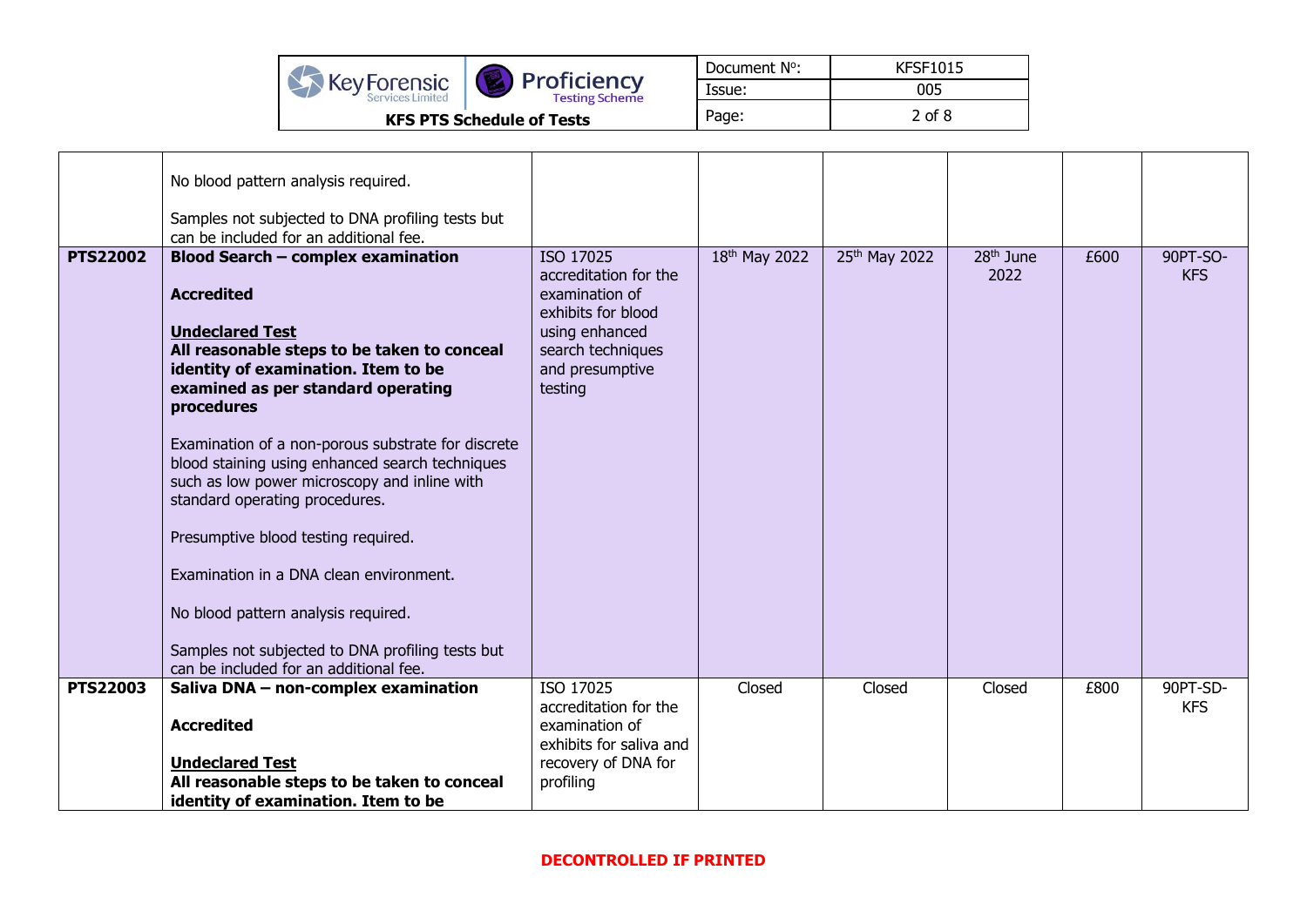|                                            |                                      | Document N°: | <b>KFSF1015</b> |
|--------------------------------------------|--------------------------------------|--------------|-----------------|
| <b>XX</b> Key Forensic<br>Services Limited | Proficiency<br><b>Testing Scheme</b> | lssue:       | 005             |
|                                            | <b>KFS PTS Schedule of Tests</b>     | Page:        | 2 of 8          |

| No blood pattern analysis required.<br>Samples not subjected to DNA profiling tests but<br>can be included for an additional fee.<br><b>PTS22002</b><br><b>Blood Search - complex examination</b>                                                                                                                                                                                                                                                                                                                                                                                                       | ISO 17025                                                                                                                          | 18th May 2022 | 25th May 2022 | 28 <sup>th</sup> June | £600 | 90PT-SO-               |
|---------------------------------------------------------------------------------------------------------------------------------------------------------------------------------------------------------------------------------------------------------------------------------------------------------------------------------------------------------------------------------------------------------------------------------------------------------------------------------------------------------------------------------------------------------------------------------------------------------|------------------------------------------------------------------------------------------------------------------------------------|---------------|---------------|-----------------------|------|------------------------|
| <b>Accredited</b><br><b>Undeclared Test</b><br>All reasonable steps to be taken to conceal<br>identity of examination. Item to be<br>examined as per standard operating<br>procedures<br>Examination of a non-porous substrate for discrete<br>blood staining using enhanced search techniques<br>such as low power microscopy and inline with<br>standard operating procedures.<br>Presumptive blood testing required.<br>Examination in a DNA clean environment.<br>No blood pattern analysis required.<br>Samples not subjected to DNA profiling tests but<br>can be included for an additional fee. | accreditation for the<br>examination of<br>exhibits for blood<br>using enhanced<br>search techniques<br>and presumptive<br>testing |               |               | 2022                  |      | <b>KFS</b>             |
| <b>PTS22003</b><br>Saliva DNA - non-complex examination<br><b>Accredited</b><br><b>Undeclared Test</b><br>All reasonable steps to be taken to conceal<br>identity of examination. Item to be                                                                                                                                                                                                                                                                                                                                                                                                            | ISO 17025<br>accreditation for the<br>examination of<br>exhibits for saliva and<br>recovery of DNA for<br>profiling                | Closed        | Closed        | Closed                | £800 | 90PT-SD-<br><b>KFS</b> |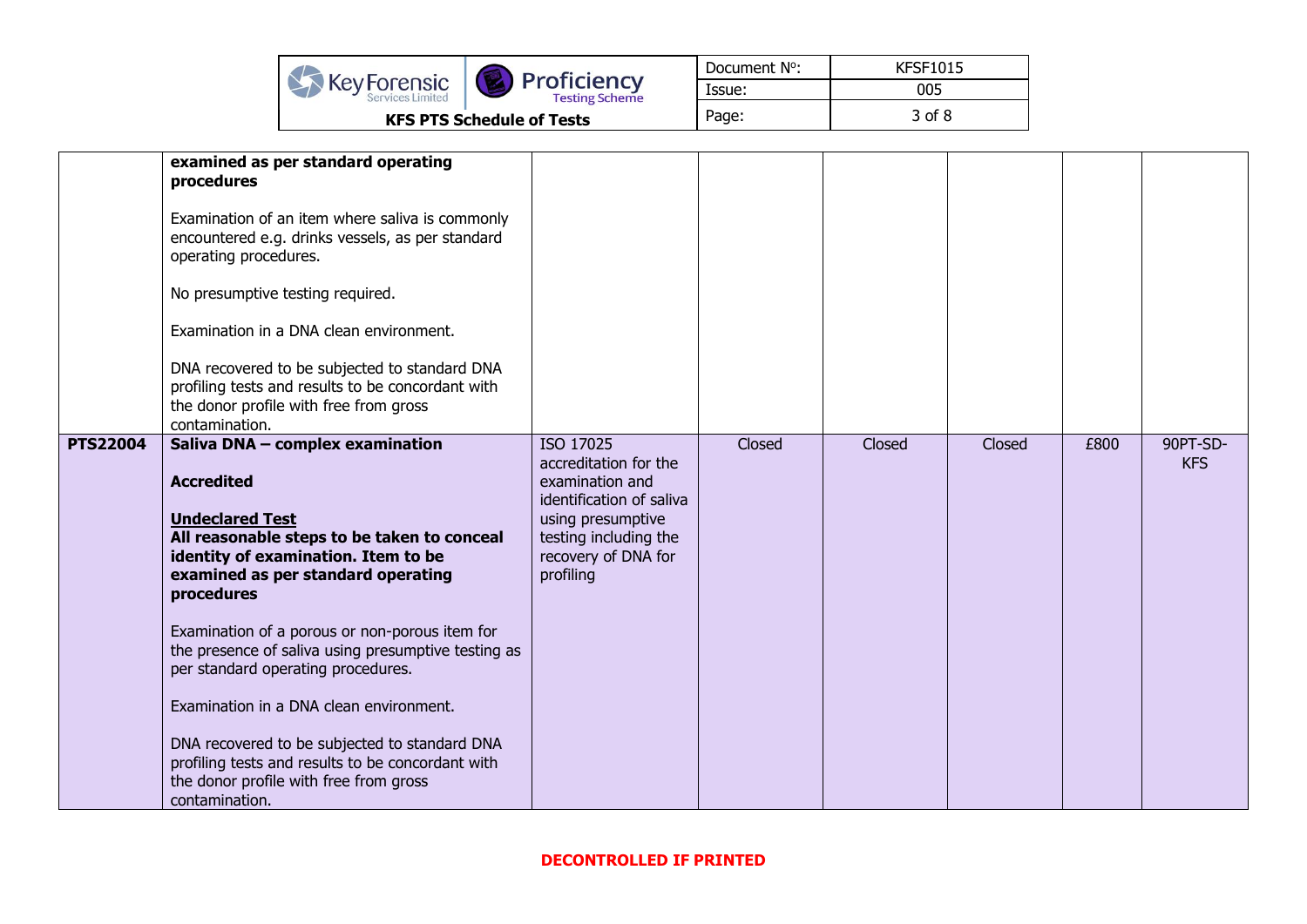|                                               |                                      | Document N°: | <b>KFSF1015</b> |
|-----------------------------------------------|--------------------------------------|--------------|-----------------|
| <b>KeyForensic</b><br><b>Services Limited</b> | Proficiency<br><b>Testing Scheme</b> | Issue:       | 005             |
|                                               | <b>KFS PTS Schedule of Tests</b>     | Page:        | 3 of 8          |

|                 | examined as per standard operating<br>procedures<br>Examination of an item where saliva is commonly<br>encountered e.g. drinks vessels, as per standard<br>operating procedures.<br>No presumptive testing required.<br>Examination in a DNA clean environment.<br>DNA recovered to be subjected to standard DNA<br>profiling tests and results to be concordant with<br>the donor profile with free from gross<br>contamination.                                                                                                                                                     |                                                                                                                                                                     |        |        |        |      |                        |
|-----------------|---------------------------------------------------------------------------------------------------------------------------------------------------------------------------------------------------------------------------------------------------------------------------------------------------------------------------------------------------------------------------------------------------------------------------------------------------------------------------------------------------------------------------------------------------------------------------------------|---------------------------------------------------------------------------------------------------------------------------------------------------------------------|--------|--------|--------|------|------------------------|
| <b>PTS22004</b> | Saliva DNA - complex examination<br><b>Accredited</b><br><b>Undeclared Test</b><br>All reasonable steps to be taken to conceal<br>identity of examination. Item to be<br>examined as per standard operating<br>procedures<br>Examination of a porous or non-porous item for<br>the presence of saliva using presumptive testing as<br>per standard operating procedures.<br>Examination in a DNA clean environment.<br>DNA recovered to be subjected to standard DNA<br>profiling tests and results to be concordant with<br>the donor profile with free from gross<br>contamination. | ISO 17025<br>accreditation for the<br>examination and<br>identification of saliva<br>using presumptive<br>testing including the<br>recovery of DNA for<br>profiling | Closed | Closed | Closed | £800 | 90PT-SD-<br><b>KFS</b> |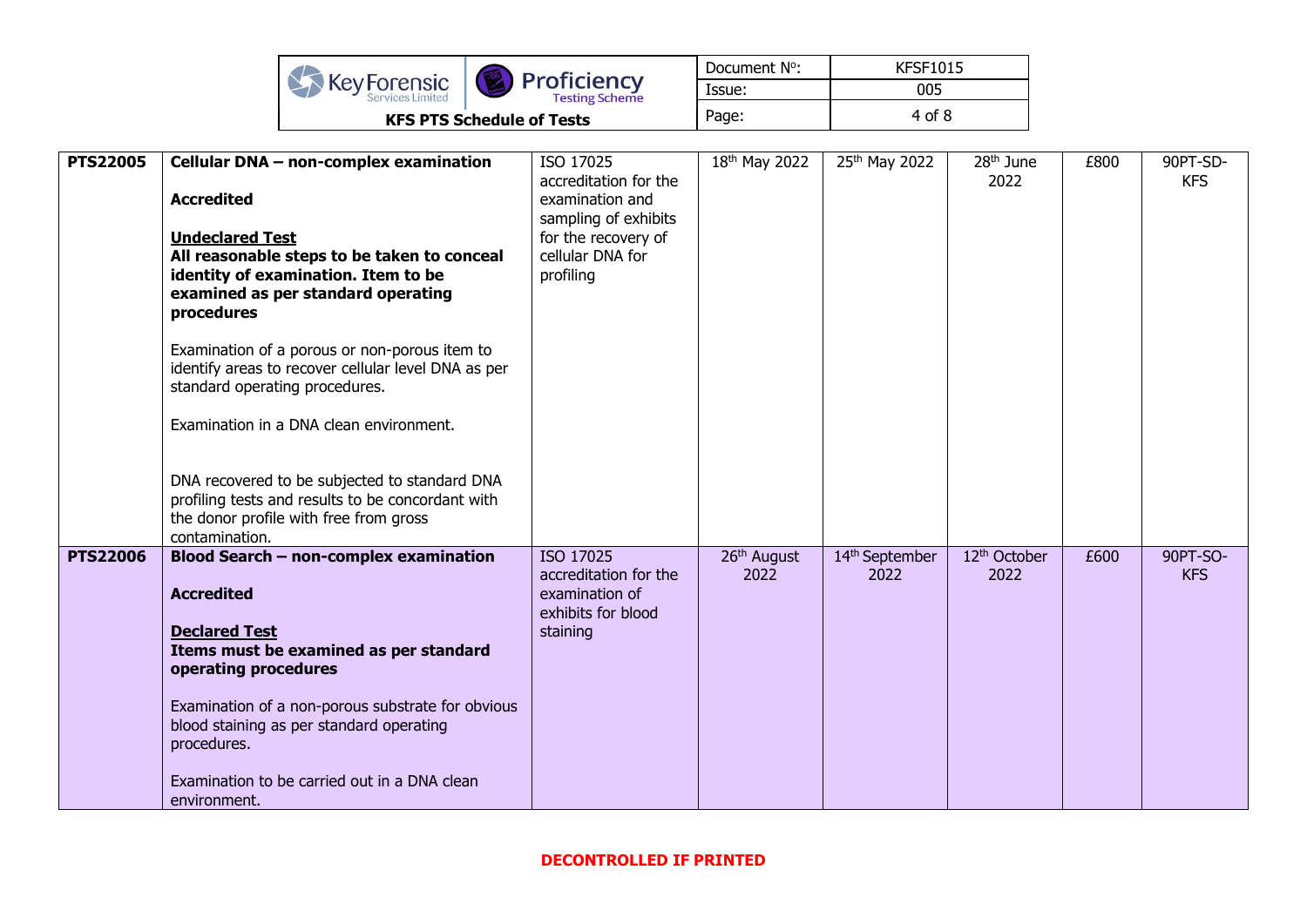|              |                                      | Document N°: | <b>KFSF1015</b> |
|--------------|--------------------------------------|--------------|-----------------|
| Key Forensic | Proficiency<br><b>Testing Scheme</b> | Issue:       | 005             |
|              | <b>KFS PTS Schedule of Tests</b>     | Page:        | 4 of 8          |

| <b>PTS22005</b> | Cellular DNA - non-complex examination<br><b>Accredited</b><br><b>Undeclared Test</b><br>All reasonable steps to be taken to conceal<br>identity of examination. Item to be<br>examined as per standard operating<br>procedures<br>Examination of a porous or non-porous item to<br>identify areas to recover cellular level DNA as per<br>standard operating procedures.<br>Examination in a DNA clean environment.<br>DNA recovered to be subjected to standard DNA<br>profiling tests and results to be concordant with<br>the donor profile with free from gross<br>contamination. | ISO 17025<br>accreditation for the<br>examination and<br>sampling of exhibits<br>for the recovery of<br>cellular DNA for<br>profiling | 18 <sup>th</sup> May 2022       | 25th May 2022          | 28 <sup>th</sup> June<br>2022    | £800 | 90PT-SD-<br><b>KFS</b> |
|-----------------|----------------------------------------------------------------------------------------------------------------------------------------------------------------------------------------------------------------------------------------------------------------------------------------------------------------------------------------------------------------------------------------------------------------------------------------------------------------------------------------------------------------------------------------------------------------------------------------|---------------------------------------------------------------------------------------------------------------------------------------|---------------------------------|------------------------|----------------------------------|------|------------------------|
| <b>PTS22006</b> | <b>Blood Search - non-complex examination</b><br><b>Accredited</b><br><b>Declared Test</b><br>Items must be examined as per standard<br>operating procedures<br>Examination of a non-porous substrate for obvious<br>blood staining as per standard operating<br>procedures.<br>Examination to be carried out in a DNA clean<br>environment.                                                                                                                                                                                                                                           | ISO 17025<br>accreditation for the<br>examination of<br>exhibits for blood<br>staining                                                | 26 <sup>th</sup> August<br>2022 | 14th September<br>2022 | 12 <sup>th</sup> October<br>2022 | £600 | 90PT-SO-<br><b>KFS</b> |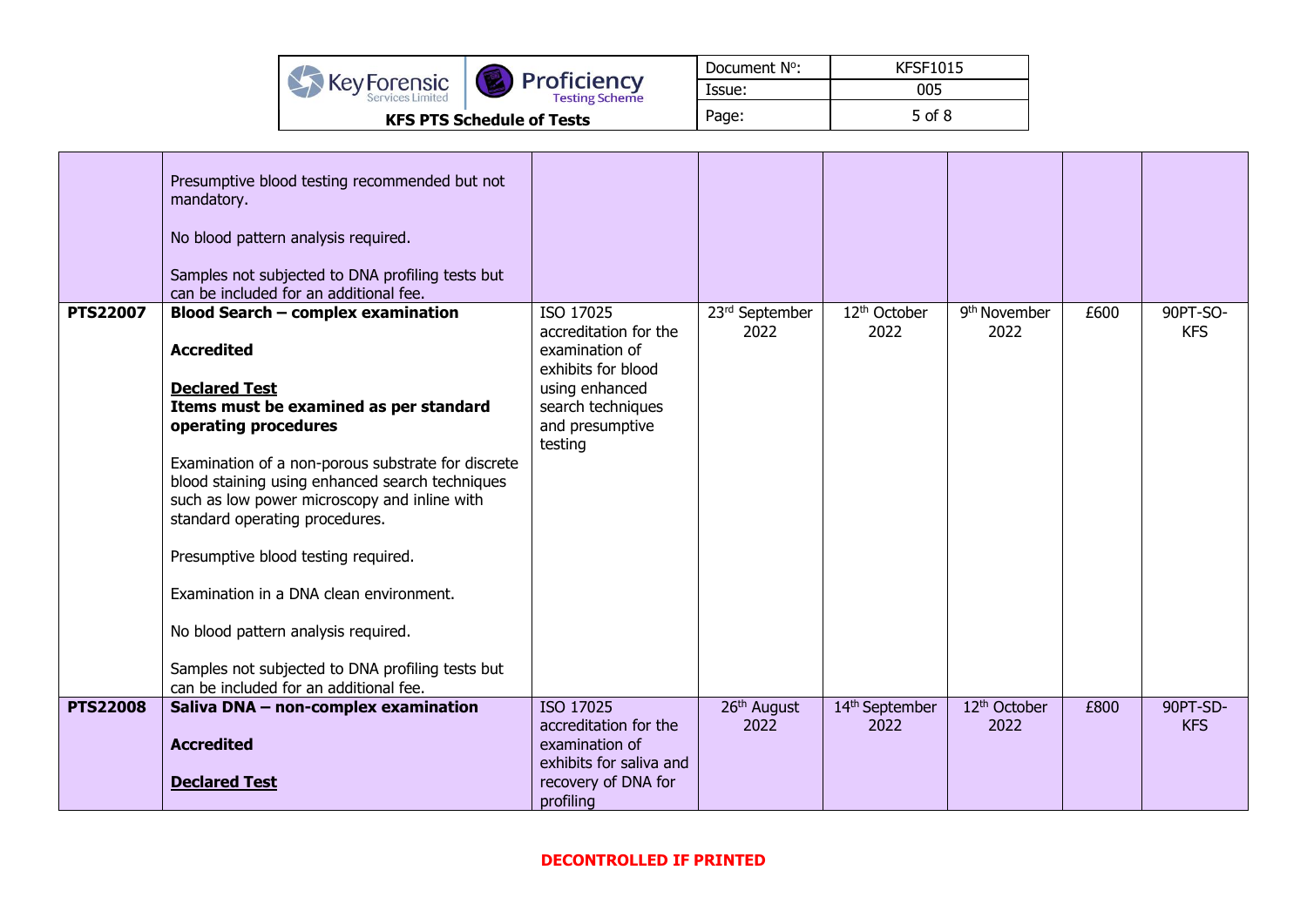|                                        |                                      | Document N°: | <b>KFSF1015</b> |
|----------------------------------------|--------------------------------------|--------------|-----------------|
| <b>KeyForensic</b><br>Services Limited | Proficiency<br><b>Testing Scheme</b> | Issue:       | 005             |
|                                        | <b>KFS PTS Schedule of Tests</b>     | Page:        | 5 of 8          |

|                 | Presumptive blood testing recommended but not<br>mandatory.<br>No blood pattern analysis required.<br>Samples not subjected to DNA profiling tests but<br>can be included for an additional fee.                                                                                                                                                                                                                                                                                                                                                                           |                                                                                                                                                 |                                 |                                    |                                  |      |                        |
|-----------------|----------------------------------------------------------------------------------------------------------------------------------------------------------------------------------------------------------------------------------------------------------------------------------------------------------------------------------------------------------------------------------------------------------------------------------------------------------------------------------------------------------------------------------------------------------------------------|-------------------------------------------------------------------------------------------------------------------------------------------------|---------------------------------|------------------------------------|----------------------------------|------|------------------------|
| <b>PTS22007</b> | <b>Blood Search - complex examination</b><br><b>Accredited</b><br><b>Declared Test</b><br>Items must be examined as per standard<br>operating procedures<br>Examination of a non-porous substrate for discrete<br>blood staining using enhanced search techniques<br>such as low power microscopy and inline with<br>standard operating procedures.<br>Presumptive blood testing required.<br>Examination in a DNA clean environment.<br>No blood pattern analysis required.<br>Samples not subjected to DNA profiling tests but<br>can be included for an additional fee. | ISO 17025<br>accreditation for the<br>examination of<br>exhibits for blood<br>using enhanced<br>search techniques<br>and presumptive<br>testing | 23rd September<br>2022          | 12 <sup>th</sup> October<br>2022   | 9 <sup>th</sup> November<br>2022 | £600 | 90PT-SO-<br><b>KFS</b> |
| <b>PTS22008</b> | Saliva DNA - non-complex examination<br><b>Accredited</b><br><b>Declared Test</b>                                                                                                                                                                                                                                                                                                                                                                                                                                                                                          | ISO 17025<br>accreditation for the<br>examination of<br>exhibits for saliva and<br>recovery of DNA for<br>profiling                             | 26 <sup>th</sup> August<br>2022 | 14 <sup>th</sup> September<br>2022 | 12 <sup>th</sup> October<br>2022 | £800 | 90PT-SD-<br><b>KFS</b> |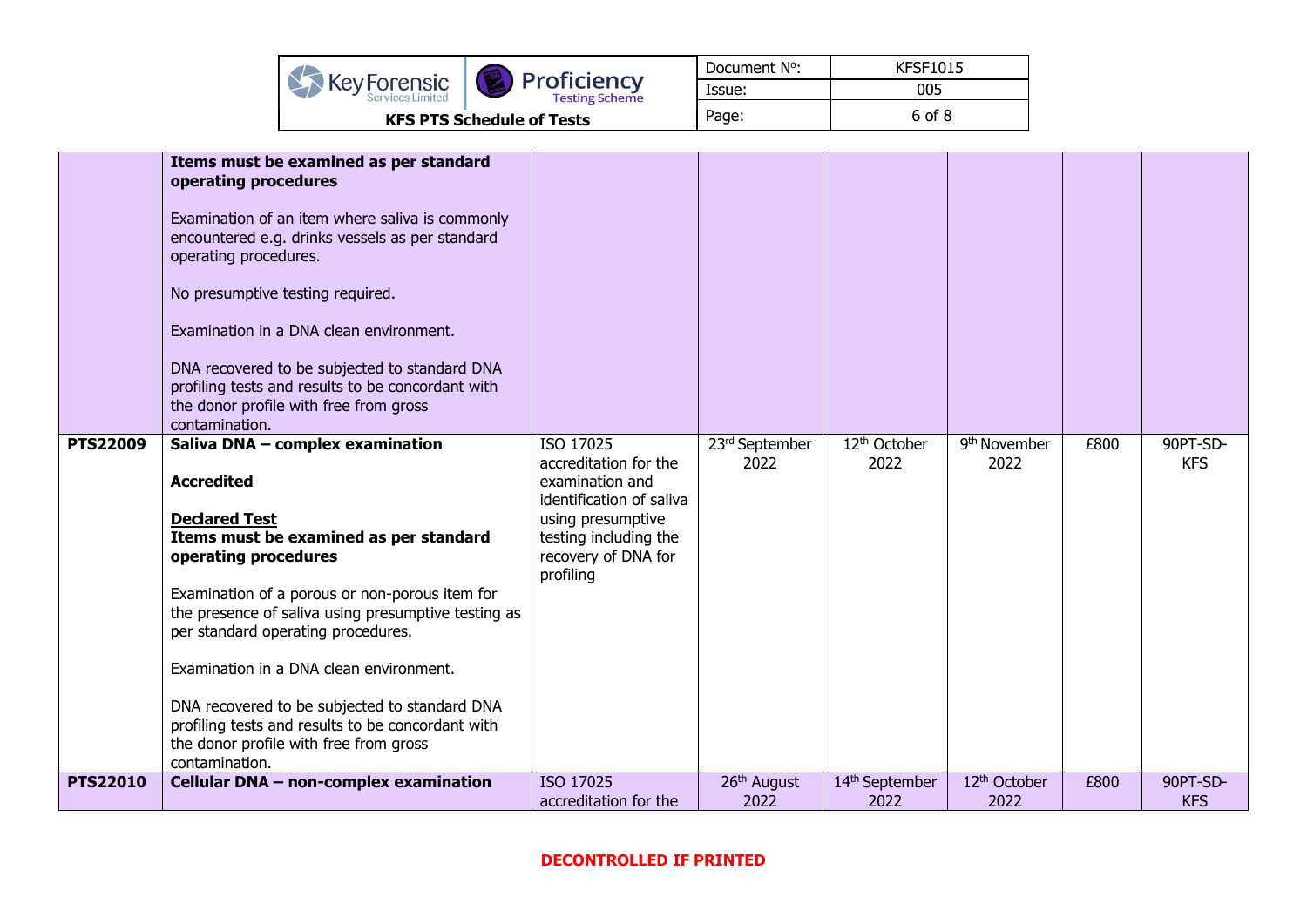|                                 |                                      | Document N°: | <b>KFSF1015</b> |
|---------------------------------|--------------------------------------|--------------|-----------------|
| KeyForensic<br>Services Limited | Proficiency<br><b>Testing Scheme</b> | Issue:       | 005             |
|                                 | <b>KFS PTS Schedule of Tests</b>     | Page:        | 6 of 8          |

|                 | Items must be examined as per standard<br>operating procedures<br>Examination of an item where saliva is commonly<br>encountered e.g. drinks vessels as per standard<br>operating procedures.<br>No presumptive testing required.<br>Examination in a DNA clean environment.<br>DNA recovered to be subjected to standard DNA<br>profiling tests and results to be concordant with<br>the donor profile with free from gross<br>contamination.                                                              |                                                                                                                                                                     |                                 |                                    |                                  |      |                        |
|-----------------|-------------------------------------------------------------------------------------------------------------------------------------------------------------------------------------------------------------------------------------------------------------------------------------------------------------------------------------------------------------------------------------------------------------------------------------------------------------------------------------------------------------|---------------------------------------------------------------------------------------------------------------------------------------------------------------------|---------------------------------|------------------------------------|----------------------------------|------|------------------------|
| <b>PTS22009</b> | Saliva DNA - complex examination<br><b>Accredited</b><br><b>Declared Test</b><br>Items must be examined as per standard<br>operating procedures<br>Examination of a porous or non-porous item for<br>the presence of saliva using presumptive testing as<br>per standard operating procedures.<br>Examination in a DNA clean environment.<br>DNA recovered to be subjected to standard DNA<br>profiling tests and results to be concordant with<br>the donor profile with free from gross<br>contamination. | ISO 17025<br>accreditation for the<br>examination and<br>identification of saliva<br>using presumptive<br>testing including the<br>recovery of DNA for<br>profiling | 23rd September<br>2022          | 12 <sup>th</sup> October<br>2022   | 9 <sup>th</sup> November<br>2022 | £800 | 90PT-SD-<br><b>KFS</b> |
| <b>PTS22010</b> | Cellular DNA - non-complex examination                                                                                                                                                                                                                                                                                                                                                                                                                                                                      | ISO 17025<br>accreditation for the                                                                                                                                  | 26 <sup>th</sup> August<br>2022 | 14 <sup>th</sup> September<br>2022 | 12 <sup>th</sup> October<br>2022 | £800 | 90PT-SD-<br><b>KFS</b> |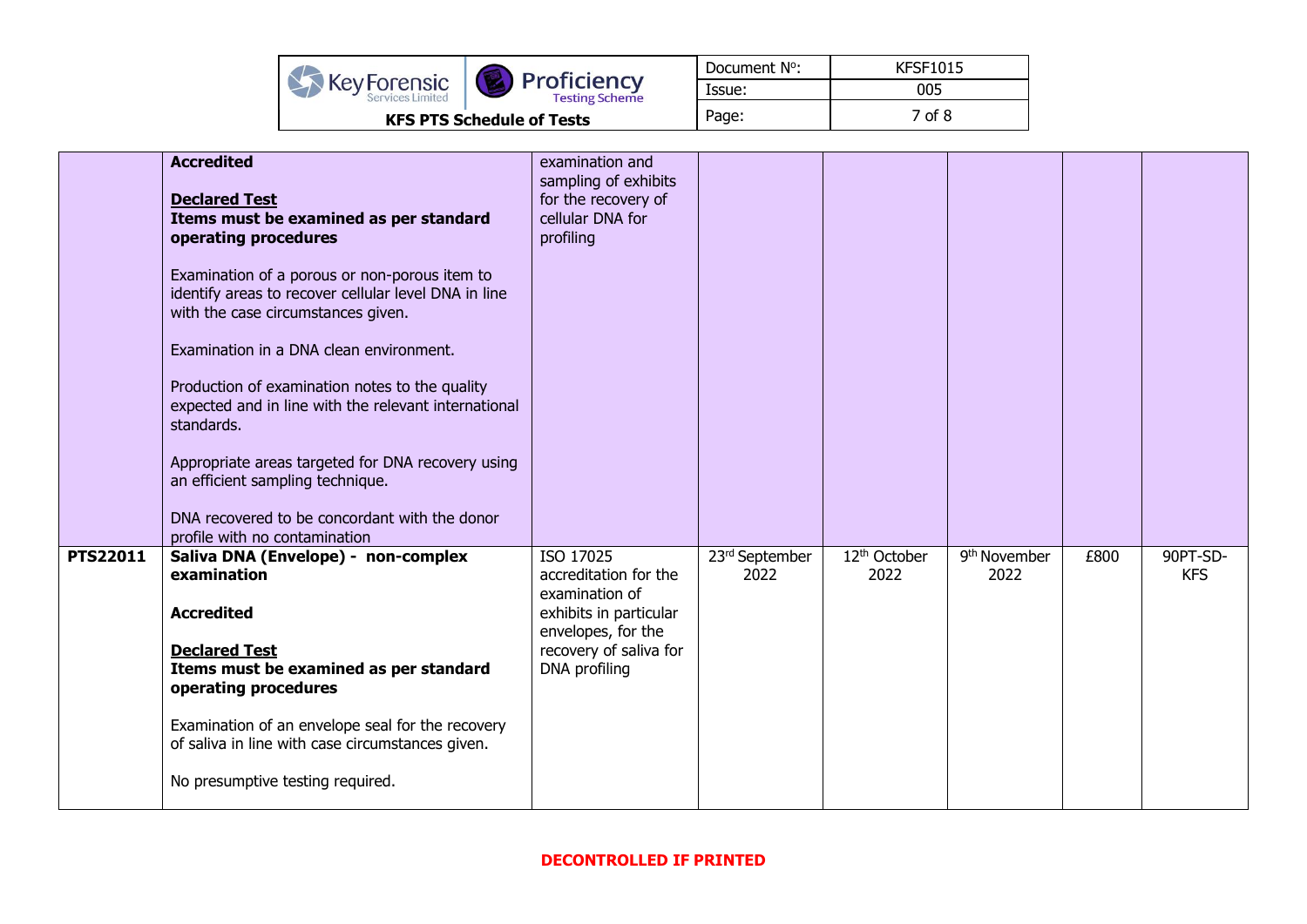|                                            |                                      | Document N°: | <b>KFSF1015</b> |  |
|--------------------------------------------|--------------------------------------|--------------|-----------------|--|
| <b>XX</b> Key Forensic<br>Services Limited | Proficiency<br><b>Testing Scheme</b> | Issue:       | 005             |  |
| <b>KFS PTS Schedule of Tests</b>           |                                      | Page:        | 7 of 8          |  |

|                 | <b>Accredited</b><br><b>Declared Test</b><br>Items must be examined as per standard<br>operating procedures<br>Examination of a porous or non-porous item to<br>identify areas to recover cellular level DNA in line<br>with the case circumstances given.<br>Examination in a DNA clean environment.<br>Production of examination notes to the quality<br>expected and in line with the relevant international<br>standards.<br>Appropriate areas targeted for DNA recovery using<br>an efficient sampling technique. | examination and<br>sampling of exhibits<br>for the recovery of<br>cellular DNA for<br>profiling                                                 |                        |                                  |                                  |      |                        |
|-----------------|------------------------------------------------------------------------------------------------------------------------------------------------------------------------------------------------------------------------------------------------------------------------------------------------------------------------------------------------------------------------------------------------------------------------------------------------------------------------------------------------------------------------|-------------------------------------------------------------------------------------------------------------------------------------------------|------------------------|----------------------------------|----------------------------------|------|------------------------|
|                 | DNA recovered to be concordant with the donor<br>profile with no contamination                                                                                                                                                                                                                                                                                                                                                                                                                                         |                                                                                                                                                 |                        |                                  |                                  |      |                        |
| <b>PTS22011</b> | Saliva DNA (Envelope) - non-complex<br>examination<br><b>Accredited</b><br><b>Declared Test</b><br>Items must be examined as per standard<br>operating procedures<br>Examination of an envelope seal for the recovery<br>of saliva in line with case circumstances given.<br>No presumptive testing required.                                                                                                                                                                                                          | ISO 17025<br>accreditation for the<br>examination of<br>exhibits in particular<br>envelopes, for the<br>recovery of saliva for<br>DNA profiling | 23rd September<br>2022 | 12 <sup>th</sup> October<br>2022 | 9 <sup>th</sup> November<br>2022 | £800 | 90PT-SD-<br><b>KFS</b> |